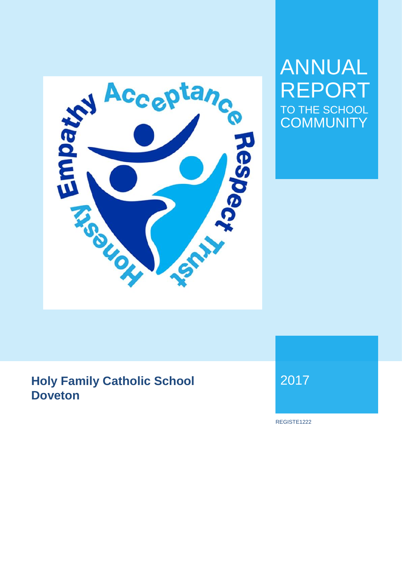

# ANNUAL REPORT TO THE SCHOOL **COMMUNITY**

## **Holy Family Catholic School Doveton**

2017

REGISTE1222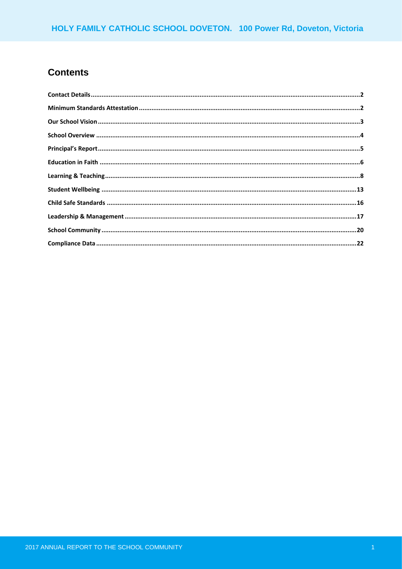### **Contents**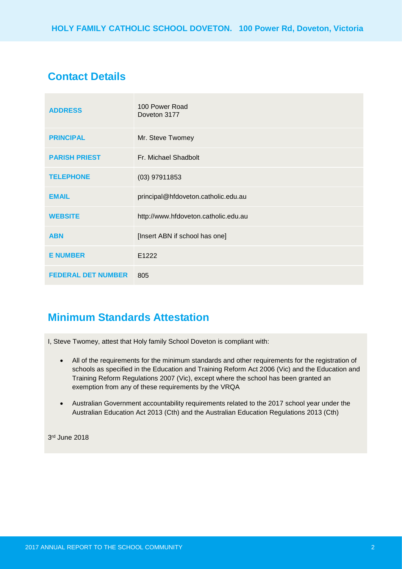### **Contact Details**

| <b>ADDRESS</b>            | 100 Power Road<br>Doveton 3177       |
|---------------------------|--------------------------------------|
| <b>PRINCIPAL</b>          | Mr. Steve Twomey                     |
| <b>PARISH PRIEST</b>      | Fr. Michael Shadbolt                 |
| <b>TELEPHONE</b>          | $(03)$ 97911853                      |
| <b>EMAIL</b>              | principal@hfdoveton.catholic.edu.au  |
| <b>WEBSITE</b>            | http://www.hfdoveton.catholic.edu.au |
| <b>ABN</b>                | [Insert ABN if school has one]       |
| <b>E NUMBER</b>           | E1222                                |
| <b>FEDERAL DET NUMBER</b> | 805                                  |

### **Minimum Standards Attestation**

I, Steve Twomey, attest that Holy family School Doveton is compliant with:

- All of the requirements for the minimum standards and other requirements for the registration of schools as specified in the Education and Training Reform Act 2006 (Vic) and the Education and Training Reform Regulations 2007 (Vic), except where the school has been granted an exemption from any of these requirements by the VRQA
- Australian Government accountability requirements related to the 2017 school year under the Australian Education Act 2013 (Cth) and the Australian Education Regulations 2013 (Cth)

3 rd June 2018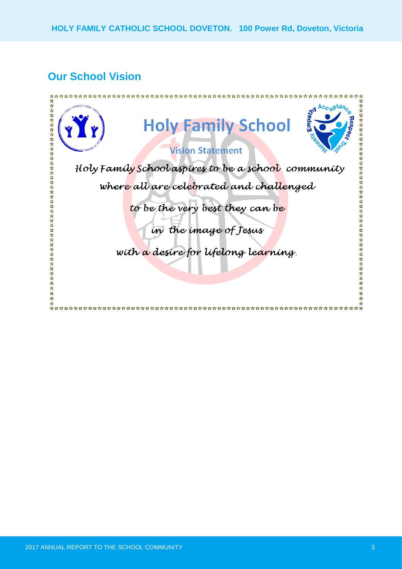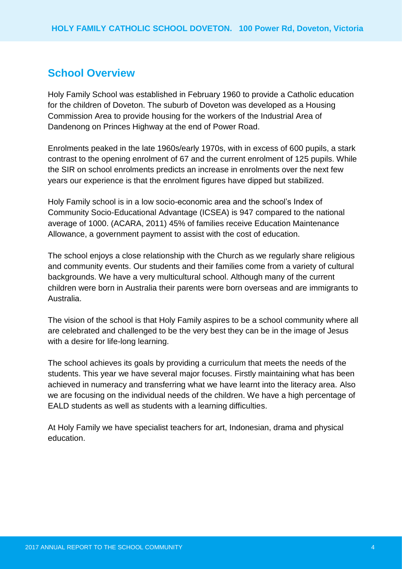### **School Overview**

Holy Family School was established in February 1960 to provide a Catholic education for the children of Doveton. The suburb of Doveton was developed as a Housing Commission Area to provide housing for the workers of the Industrial Area of Dandenong on Princes Highway at the end of Power Road.

Enrolments peaked in the late 1960s/early 1970s, with in excess of 600 pupils, a stark contrast to the opening enrolment of 67 and the current enrolment of 125 pupils. While the SIR on school enrolments predicts an increase in enrolments over the next few years our experience is that the enrolment figures have dipped but stabilized.

Holy Family school is in a low socio-economic area and the school's Index of Community Socio-Educational Advantage (ICSEA) is 947 compared to the national average of 1000. (ACARA, 2011) 45% of families receive Education Maintenance Allowance, a government payment to assist with the cost of education.

The school enjoys a close relationship with the Church as we regularly share religious and community events. Our students and their families come from a variety of cultural backgrounds. We have a very multicultural school. Although many of the current children were born in Australia their parents were born overseas and are immigrants to Australia.

The vision of the school is that Holy Family aspires to be a school community where all are celebrated and challenged to be the very best they can be in the image of Jesus with a desire for life-long learning.

The school achieves its goals by providing a curriculum that meets the needs of the students. This year we have several major focuses. Firstly maintaining what has been achieved in numeracy and transferring what we have learnt into the literacy area. Also we are focusing on the individual needs of the children. We have a high percentage of EALD students as well as students with a learning difficulties.

At Holy Family we have specialist teachers for art, Indonesian, drama and physical education.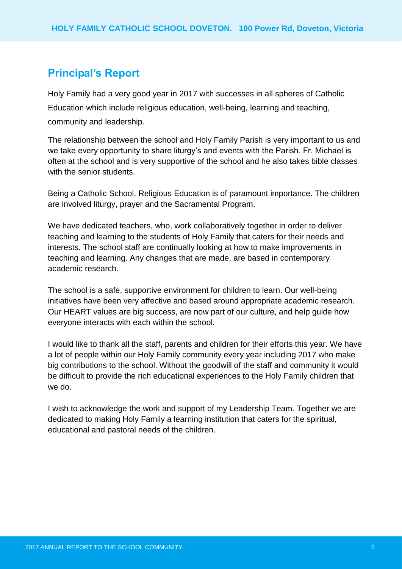### **Principal's Report**

Holy Family had a very good year in 2017 with successes in all spheres of Catholic Education which include religious education, well-being, learning and teaching, community and leadership.

The relationship between the school and Holy Family Parish is very important to us and we take every opportunity to share liturgy's and events with the Parish. Fr. Michael is often at the school and is very supportive of the school and he also takes bible classes with the senior students.

Being a Catholic School, Religious Education is of paramount importance. The children are involved liturgy, prayer and the Sacramental Program.

We have dedicated teachers, who, work collaboratively together in order to deliver teaching and learning to the students of Holy Family that caters for their needs and interests. The school staff are continually looking at how to make improvements in teaching and learning. Any changes that are made, are based in contemporary academic research.

The school is a safe, supportive environment for children to learn. Our well-being initiatives have been very affective and based around appropriate academic research. Our HEART values are big success, are now part of our culture, and help guide how everyone interacts with each within the school.

I would like to thank all the staff, parents and children for their efforts this year. We have a lot of people within our Holy Family community every year including 2017 who make big contributions to the school. Without the goodwill of the staff and community it would be difficult to provide the rich educational experiences to the Holy Family children that we do.

I wish to acknowledge the work and support of my Leadership Team. Together we are dedicated to making Holy Family a learning institution that caters for the spiritual, educational and pastoral needs of the children.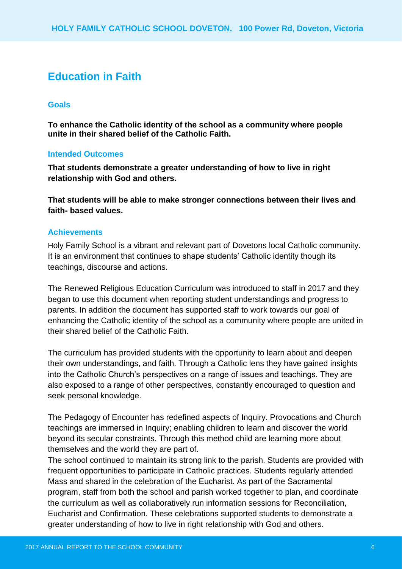### **Education in Faith**

#### **Goals**

**To enhance the Catholic identity of the school as a community where people unite in their shared belief of the Catholic Faith.**

#### **Intended Outcomes**

**That students demonstrate a greater understanding of how to live in right relationship with God and others.**

**That students will be able to make stronger connections between their lives and faith- based values.**

#### **Achievements**

Holy Family School is a vibrant and relevant part of Dovetons local Catholic community. It is an environment that continues to shape students' Catholic identity though its teachings, discourse and actions.

The Renewed Religious Education Curriculum was introduced to staff in 2017 and they began to use this document when reporting student understandings and progress to parents. In addition the document has supported staff to work towards our goal of enhancing the Catholic identity of the school as a community where people are united in their shared belief of the Catholic Faith.

The curriculum has provided students with the opportunity to learn about and deepen their own understandings, and faith. Through a Catholic lens they have gained insights into the Catholic Church's perspectives on a range of issues and teachings. They are also exposed to a range of other perspectives, constantly encouraged to question and seek personal knowledge.

The Pedagogy of Encounter has redefined aspects of Inquiry. Provocations and Church teachings are immersed in Inquiry; enabling children to learn and discover the world beyond its secular constraints. Through this method child are learning more about themselves and the world they are part of.

The school continued to maintain its strong link to the parish. Students are provided with frequent opportunities to participate in Catholic practices. Students regularly attended Mass and shared in the celebration of the Eucharist. As part of the Sacramental program, staff from both the school and parish worked together to plan, and coordinate the curriculum as well as collaboratively run information sessions for Reconciliation, Eucharist and Confirmation. These celebrations supported students to demonstrate a greater understanding of how to live in right relationship with God and others.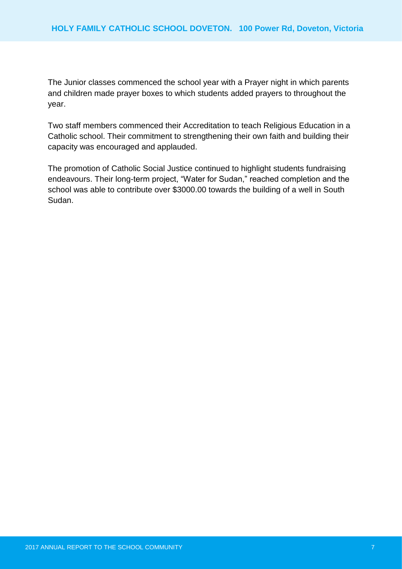The Junior classes commenced the school year with a Prayer night in which parents and children made prayer boxes to which students added prayers to throughout the year.

Two staff members commenced their Accreditation to teach Religious Education in a Catholic school. Their commitment to strengthening their own faith and building their capacity was encouraged and applauded.

The promotion of Catholic Social Justice continued to highlight students fundraising endeavours. Their long-term project, "Water for Sudan," reached completion and the school was able to contribute over \$3000.00 towards the building of a well in South Sudan.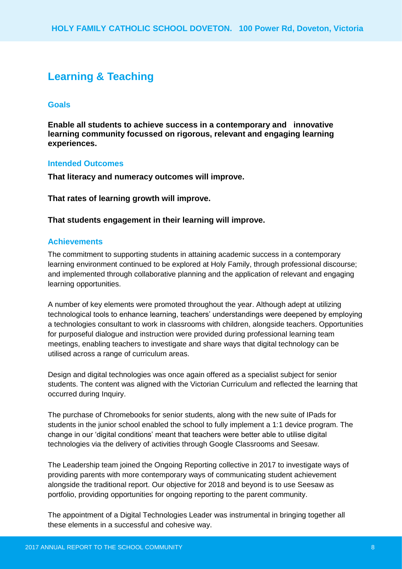### **Learning & Teaching**

#### **Goals**

**Enable all students to achieve success in a contemporary and innovative learning community focussed on rigorous, relevant and engaging learning experiences.**

#### **Intended Outcomes**

**That literacy and numeracy outcomes will improve.**

**That rates of learning growth will improve.**

#### **That students engagement in their learning will improve.**

#### **Achievements**

The commitment to supporting students in attaining academic success in a contemporary learning environment continued to be explored at Holy Family, through professional discourse; and implemented through collaborative planning and the application of relevant and engaging learning opportunities.

A number of key elements were promoted throughout the year. Although adept at utilizing technological tools to enhance learning, teachers' understandings were deepened by employing a technologies consultant to work in classrooms with children, alongside teachers. Opportunities for purposeful dialogue and instruction were provided during professional learning team meetings, enabling teachers to investigate and share ways that digital technology can be utilised across a range of curriculum areas.

Design and digital technologies was once again offered as a specialist subject for senior students. The content was aligned with the Victorian Curriculum and reflected the learning that occurred during Inquiry.

The purchase of Chromebooks for senior students, along with the new suite of IPads for students in the junior school enabled the school to fully implement a 1:1 device program. The change in our 'digital conditions' meant that teachers were better able to utilise digital technologies via the delivery of activities through Google Classrooms and Seesaw.

The Leadership team joined the Ongoing Reporting collective in 2017 to investigate ways of providing parents with more contemporary ways of communicating student achievement alongside the traditional report. Our objective for 2018 and beyond is to use Seesaw as portfolio, providing opportunities for ongoing reporting to the parent community.

The appointment of a Digital Technologies Leader was instrumental in bringing together all these elements in a successful and cohesive way.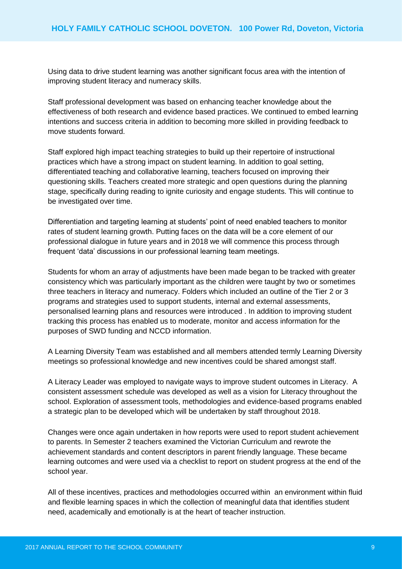Using data to drive student learning was another significant focus area with the intention of improving student literacy and numeracy skills.

Staff professional development was based on enhancing teacher knowledge about the effectiveness of both research and evidence based practices. We continued to embed learning intentions and success criteria in addition to becoming more skilled in providing feedback to move students forward.

Staff explored high impact teaching strategies to build up their repertoire of instructional practices which have a strong impact on student learning. In addition to goal setting, differentiated teaching and collaborative learning, teachers focused on improving their questioning skills. Teachers created more strategic and open questions during the planning stage, specifically during reading to ignite curiosity and engage students. This will continue to be investigated over time.

Differentiation and targeting learning at students' point of need enabled teachers to monitor rates of student learning growth. Putting faces on the data will be a core element of our professional dialogue in future years and in 2018 we will commence this process through frequent 'data' discussions in our professional learning team meetings.

Students for whom an array of adjustments have been made began to be tracked with greater consistency which was particularly important as the children were taught by two or sometimes three teachers in literacy and numeracy. Folders which included an outline of the Tier 2 or 3 programs and strategies used to support students, internal and external assessments, personalised learning plans and resources were introduced . In addition to improving student tracking this process has enabled us to moderate, monitor and access information for the purposes of SWD funding and NCCD information.

A Learning Diversity Team was established and all members attended termly Learning Diversity meetings so professional knowledge and new incentives could be shared amongst staff.

A Literacy Leader was employed to navigate ways to improve student outcomes in Literacy. A consistent assessment schedule was developed as well as a vision for Literacy throughout the school. Exploration of assessment tools, methodologies and evidence-based programs enabled a strategic plan to be developed which will be undertaken by staff throughout 2018.

Changes were once again undertaken in how reports were used to report student achievement to parents. In Semester 2 teachers examined the Victorian Curriculum and rewrote the achievement standards and content descriptors in parent friendly language. These became learning outcomes and were used via a checklist to report on student progress at the end of the school year.

All of these incentives, practices and methodologies occurred within an environment within fluid and flexible learning spaces in which the collection of meaningful data that identifies student need, academically and emotionally is at the heart of teacher instruction.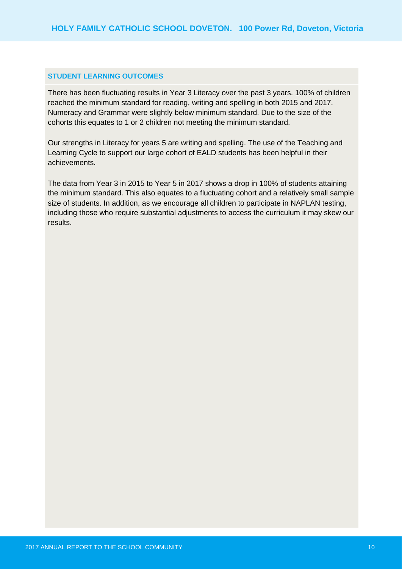#### **STUDENT LEARNING OUTCOMES**

There has been fluctuating results in Year 3 Literacy over the past 3 years. 100% of children reached the minimum standard for reading, writing and spelling in both 2015 and 2017. Numeracy and Grammar were slightly below minimum standard. Due to the size of the cohorts this equates to 1 or 2 children not meeting the minimum standard.

Our strengths in Literacy for years 5 are writing and spelling. The use of the Teaching and Learning Cycle to support our large cohort of EALD students has been helpful in their achievements.

The data from Year 3 in 2015 to Year 5 in 2017 shows a drop in 100% of students attaining the minimum standard. This also equates to a fluctuating cohort and a relatively small sample size of students. In addition, as we encourage all children to participate in NAPLAN testing, including those who require substantial adjustments to access the curriculum it may skew our results.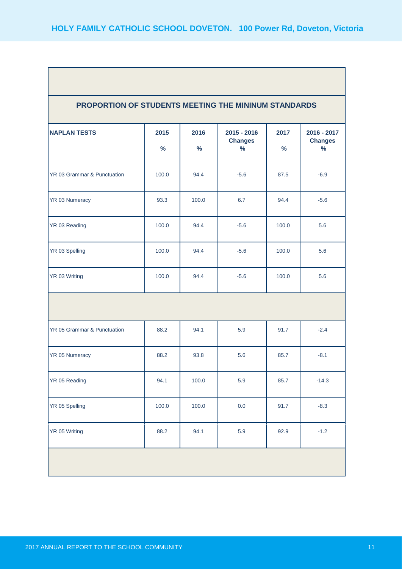| PROPORTION OF STUDENTS MEETING THE MININUM STANDARDS |                       |                       |                                                  |                       |                                                |
|------------------------------------------------------|-----------------------|-----------------------|--------------------------------------------------|-----------------------|------------------------------------------------|
| <b>NAPLAN TESTS</b>                                  | 2015<br>$\frac{9}{6}$ | 2016<br>$\frac{9}{6}$ | $2015 - 2016$<br><b>Changes</b><br>$\frac{9}{6}$ | 2017<br>$\frac{9}{6}$ | 2016 - 2017<br><b>Changes</b><br>$\frac{9}{6}$ |
| YR 03 Grammar & Punctuation                          | 100.0                 | 94.4                  | $-5.6$                                           | 87.5                  | $-6.9$                                         |
| YR 03 Numeracy                                       | 93.3                  | 100.0                 | 6.7                                              | 94.4                  | $-5.6$                                         |
| YR 03 Reading                                        | 100.0                 | 94.4                  | $-5.6$                                           | 100.0                 | 5.6                                            |
| YR 03 Spelling                                       | 100.0                 | 94.4                  | $-5.6$                                           | 100.0                 | 5.6                                            |
| YR 03 Writing                                        | 100.0                 | 94.4                  | $-5.6$                                           | 100.0                 | 5.6                                            |
|                                                      |                       |                       |                                                  |                       |                                                |
| YR 05 Grammar & Punctuation                          | 88.2                  | 94.1                  | 5.9                                              | 91.7                  | $-2.4$                                         |
| YR 05 Numeracy                                       | 88.2                  | 93.8                  | 5.6                                              | 85.7                  | $-8.1$                                         |
| YR 05 Reading                                        | 94.1                  | 100.0                 | 5.9                                              | 85.7                  | $-14.3$                                        |
| YR 05 Spelling                                       | 100.0                 | 100.0                 | $0.0\,$                                          | 91.7                  | $-8.3$                                         |
| YR 05 Writing                                        | 88.2                  | 94.1                  | 5.9                                              | 92.9                  | $-1.2$                                         |
|                                                      |                       |                       |                                                  |                       |                                                |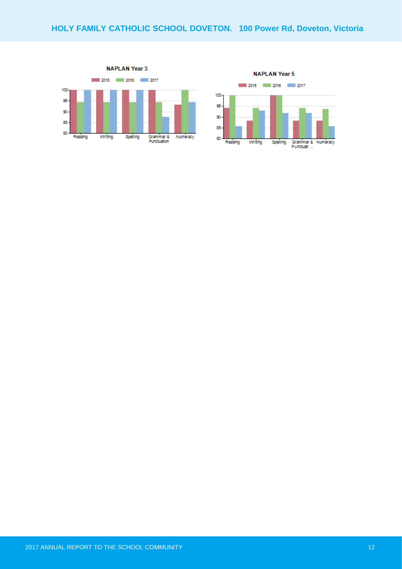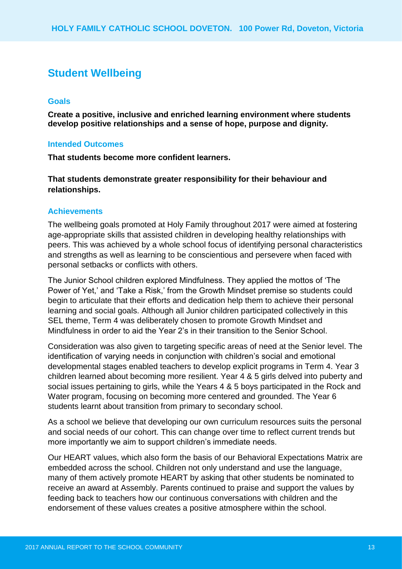### **Student Wellbeing**

#### **Goals**

**Create a positive, inclusive and enriched learning environment where students develop positive relationships and a sense of hope, purpose and dignity.**

#### **Intended Outcomes**

**That students become more confident learners.**

**That students demonstrate greater responsibility for their behaviour and relationships.**

#### **Achievements**

The wellbeing goals promoted at Holy Family throughout 2017 were aimed at fostering age-appropriate skills that assisted children in developing healthy relationships with peers. This was achieved by a whole school focus of identifying personal characteristics and strengths as well as learning to be conscientious and persevere when faced with personal setbacks or conflicts with others.

The Junior School children explored Mindfulness. They applied the mottos of 'The Power of Yet,' and 'Take a Risk,' from the Growth Mindset premise so students could begin to articulate that their efforts and dedication help them to achieve their personal learning and social goals. Although all Junior children participated collectively in this SEL theme, Term 4 was deliberately chosen to promote Growth Mindset and Mindfulness in order to aid the Year 2's in their transition to the Senior School.

Consideration was also given to targeting specific areas of need at the Senior level. The identification of varying needs in conjunction with children's social and emotional developmental stages enabled teachers to develop explicit programs in Term 4. Year 3 children learned about becoming more resilient. Year 4 & 5 girls delved into puberty and social issues pertaining to girls, while the Years 4 & 5 boys participated in the Rock and Water program, focusing on becoming more centered and grounded. The Year 6 students learnt about transition from primary to secondary school.

As a school we believe that developing our own curriculum resources suits the personal and social needs of our cohort. This can change over time to reflect current trends but more importantly we aim to support children's immediate needs.

Our HEART values, which also form the basis of our Behavioral Expectations Matrix are embedded across the school. Children not only understand and use the language, many of them actively promote HEART by asking that other students be nominated to receive an award at Assembly. Parents continued to praise and support the values by feeding back to teachers how our continuous conversations with children and the endorsement of these values creates a positive atmosphere within the school.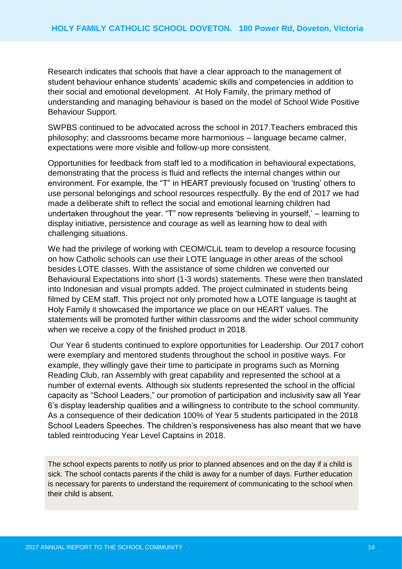Research indicates that schools that have a clear approach to the management of student behaviour enhance students' academic skills and competencies in addition to their social and emotional development. At Holy Family, the primary method of understanding and managing behaviour is based on the model of School Wide Positive Behaviour Support.

SWPBS continued to be advocated across the school in 2017.Teachers embraced this philosophy; and classrooms became more harmonious – language became calmer, expectations were more visible and follow-up more consistent.

Opportunities for feedback from staff led to a modification in behavioural expectations, demonstrating that the process is fluid and reflects the internal changes within our environment. For example, the "T" in HEART previously focused on 'trusting' others to use personal belongings and school resources respectfully. By the end of 2017 we had made a deliberate shift to reflect the social and emotional learning children had undertaken throughout the year. "T" now represents 'believing in yourself,' – learning to display initiative, persistence and courage as well as learning how to deal with challenging situations.

We had the privilege of working with CEOM/CLiL team to develop a resource focusing on how Catholic schools can use their LOTE language in other areas of the school besides LOTE classes. With the assistance of some children we converted our Behavioural Expectations into short (1-3 words) statements. These were then translated into Indonesian and visual prompts added. The project culminated in students being filmed by CEM staff. This project not only promoted how a LOTE language is taught at Holy Family it showcased the importance we place on our HEART values. The statements will be promoted further within classrooms and the wider school community when we receive a copy of the finished product in 2018.

Our Year 6 students continued to explore opportunities for Leadership. Our 2017 cohort were exemplary and mentored students throughout the school in positive ways. For example, they willingly gave their time to participate in programs such as Morning Reading Club, ran Assembly with great capability and represented the school at a number of external events. Although six students represented the school in the official capacity as "School Leaders," our promotion of participation and inclusivity saw all Year 6's display leadership qualities and a willingness to contribute to the school community. As a consequence of their dedication 100% of Year 5 students participated in the 2018 School Leaders Speeches. The children's responsiveness has also meant that we have tabled reintroducing Year Level Captains in 2018.

The school expects parents to notify us prior to planned absences and on the day if a child is sick. The school contacts parents if the child is away for a number of days. Further education is necessary for parents to understand the requirement of communicating to the school when their child is absent.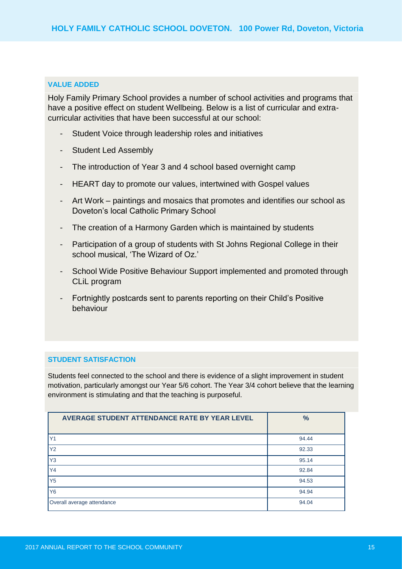#### **VALUE ADDED**

Holy Family Primary School provides a number of school activities and programs that have a positive effect on student Wellbeing. Below is a list of curricular and extracurricular activities that have been successful at our school:

- Student Voice through leadership roles and initiatives
- Student Led Assembly
- The introduction of Year 3 and 4 school based overnight camp
- HEART day to promote our values, intertwined with Gospel values
- Art Work paintings and mosaics that promotes and identifies our school as Doveton's local Catholic Primary School
- The creation of a Harmony Garden which is maintained by students
- Participation of a group of students with St Johns Regional College in their school musical, 'The Wizard of Oz.'
- School Wide Positive Behaviour Support implemented and promoted through CLiL program
- Fortnightly postcards sent to parents reporting on their Child's Positive behaviour

#### **STUDENT SATISFACTION**

Students feel connected to the school and there is evidence of a slight improvement in student motivation, particularly amongst our Year 5/6 cohort. The Year 3/4 cohort believe that the learning environment is stimulating and that the teaching is purposeful.

| AVERAGE STUDENT ATTENDANCE RATE BY YEAR LEVEL | $\frac{9}{6}$ |
|-----------------------------------------------|---------------|
| Y <sub>1</sub>                                | 94.44         |
| <b>Y2</b>                                     | 92.33         |
| Y <sub>3</sub>                                | 95.14         |
| <b>Y4</b>                                     | 92.84         |
| Y <sub>5</sub>                                | 94.53         |
| Y <sub>6</sub>                                | 94.94         |
| Overall average attendance                    | 94.04         |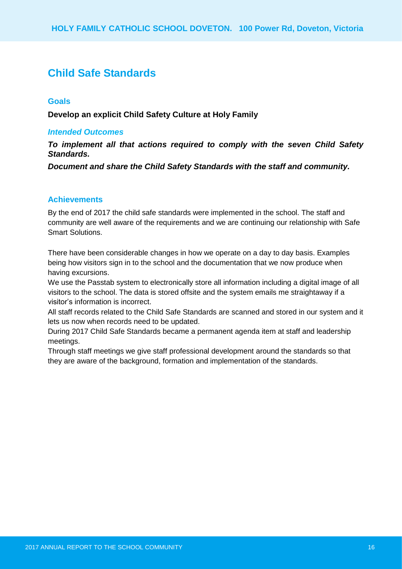### **Child Safe Standards**

#### **Goals**

**Develop an explicit Child Safety Culture at Holy Family**

#### *Intended Outcomes*

*To implement all that actions required to comply with the seven Child Safety Standards.*

*Document and share the Child Safety Standards with the staff and community.*

#### **Achievements**

By the end of 2017 the child safe standards were implemented in the school. The staff and community are well aware of the requirements and we are continuing our relationship with Safe Smart Solutions.

There have been considerable changes in how we operate on a day to day basis. Examples being how visitors sign in to the school and the documentation that we now produce when having excursions.

We use the Passtab system to electronically store all information including a digital image of all visitors to the school. The data is stored offsite and the system emails me straightaway if a visitor's information is incorrect.

All staff records related to the Child Safe Standards are scanned and stored in our system and it lets us now when records need to be updated.

During 2017 Child Safe Standards became a permanent agenda item at staff and leadership meetings.

Through staff meetings we give staff professional development around the standards so that they are aware of the background, formation and implementation of the standards.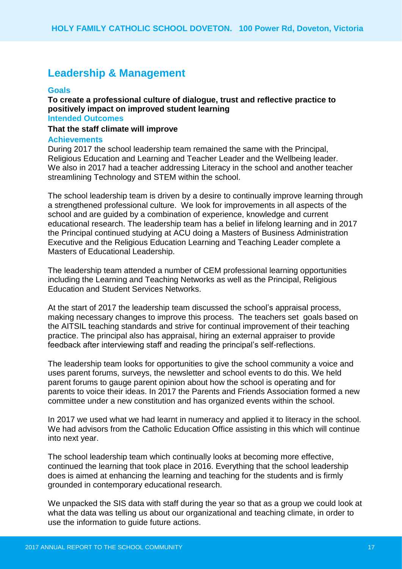### **Leadership & Management**

#### **Goals**

**To create a professional culture of dialogue, trust and reflective practice to positively impact on improved student learning Intended Outcomes**

### **That the staff climate will improve**

#### **Achievements**

During 2017 the school leadership team remained the same with the Principal, Religious Education and Learning and Teacher Leader and the Wellbeing leader. We also in 2017 had a teacher addressing Literacy in the school and another teacher streamlining Technology and STEM within the school.

The school leadership team is driven by a desire to continually improve learning through a strengthened professional culture. We look for improvements in all aspects of the school and are guided by a combination of experience, knowledge and current educational research. The leadership team has a belief in lifelong learning and in 2017 the Principal continued studying at ACU doing a Masters of Business Administration Executive and the Religious Education Learning and Teaching Leader complete a Masters of Educational Leadership.

The leadership team attended a number of CEM professional learning opportunities including the Learning and Teaching Networks as well as the Principal, Religious Education and Student Services Networks.

At the start of 2017 the leadership team discussed the school's appraisal process, making necessary changes to improve this process. The teachers set goals based on the AITSIL teaching standards and strive for continual improvement of their teaching practice. The principal also has appraisal, hiring an external appraiser to provide feedback after interviewing staff and reading the principal's self-reflections.

The leadership team looks for opportunities to give the school community a voice and uses parent forums, surveys, the newsletter and school events to do this. We held parent forums to gauge parent opinion about how the school is operating and for parents to voice their ideas. In 2017 the Parents and Friends Association formed a new committee under a new constitution and has organized events within the school.

In 2017 we used what we had learnt in numeracy and applied it to literacy in the school. We had advisors from the Catholic Education Office assisting in this which will continue into next year.

The school leadership team which continually looks at becoming more effective, continued the learning that took place in 2016. Everything that the school leadership does is aimed at enhancing the learning and teaching for the students and is firmly grounded in contemporary educational research.

We unpacked the SIS data with staff during the year so that as a group we could look at what the data was telling us about our organizational and teaching climate, in order to use the information to guide future actions.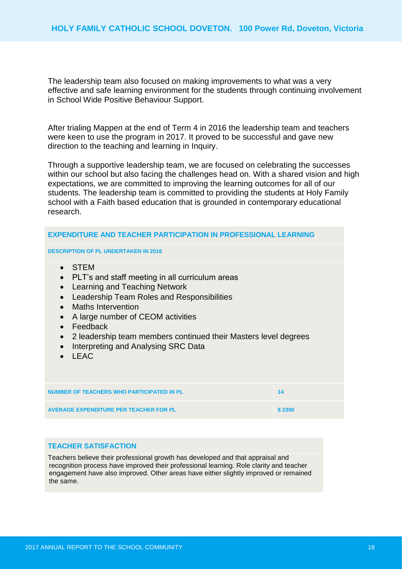The leadership team also focused on making improvements to what was a very effective and safe learning environment for the students through continuing involvement in School Wide Positive Behaviour Support.

After trialing Mappen at the end of Term 4 in 2016 the leadership team and teachers were keen to use the program in 2017. It proved to be successful and gave new direction to the teaching and learning in Inquiry.

Through a supportive leadership team, we are focused on celebrating the successes within our school but also facing the challenges head on. With a shared vision and high expectations, we are committed to improving the learning outcomes for all of our students. The leadership team is committed to providing the students at Holy Family school with a Faith based education that is grounded in contemporary educational research.

| <b>EXPENDITURE AND TEACHER PARTICIPATION IN PROFESSIONAL LEARNING</b>                                                                                                                                                                                                                                                                                                                                                 |        |
|-----------------------------------------------------------------------------------------------------------------------------------------------------------------------------------------------------------------------------------------------------------------------------------------------------------------------------------------------------------------------------------------------------------------------|--------|
| <b>DESCRIPTION OF PL UNDERTAKEN IN 2016</b>                                                                                                                                                                                                                                                                                                                                                                           |        |
| <b>STEM</b><br>PLT's and staff meeting in all curriculum areas<br>$\bullet$<br>Learning and Teaching Network<br>$\bullet$<br>Leadership Team Roles and Responsibilities<br>$\bullet$<br><b>Maths Intervention</b><br>A large number of CEOM activities<br>$\bullet$<br>Feedback<br>2 leadership team members continued their Masters level degrees<br>$\bullet$<br>Interpreting and Analysing SRC Data<br><b>LEAC</b> |        |
| <b>NUMBER OF TEACHERS WHO PARTICIPATED IN PL</b>                                                                                                                                                                                                                                                                                                                                                                      | 14     |
| <b>AVERAGE EXPENDITURE PER TEACHER FOR PL</b>                                                                                                                                                                                                                                                                                                                                                                         | \$2300 |

#### **TEACHER SATISFACTION**

Teachers believe their professional growth has developed and that appraisal and recognition process have improved their professional learning. Role clarity and teacher engagement have also improved. Other areas have either slightly improved or remained the same.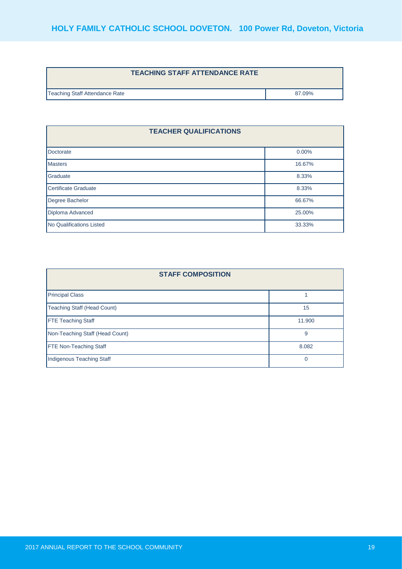| <b>TEACHING STAFF ATTENDANCE RATE</b> |        |
|---------------------------------------|--------|
| Teaching Staff Attendance Rate        | 87.09% |

| <b>TEACHER QUALIFICATIONS</b> |          |
|-------------------------------|----------|
| Doctorate                     | $0.00\%$ |
| <b>Masters</b>                | 16.67%   |
| Graduate                      | 8.33%    |
| Certificate Graduate          | 8.33%    |
| Degree Bachelor               | 66.67%   |
| Diploma Advanced              | 25.00%   |
| No Qualifications Listed      | 33.33%   |

| <b>STAFF COMPOSITION</b>        |        |  |
|---------------------------------|--------|--|
| <b>Principal Class</b>          |        |  |
| Teaching Staff (Head Count)     | 15     |  |
| <b>FTE Teaching Staff</b>       | 11.900 |  |
| Non-Teaching Staff (Head Count) | 9      |  |
| <b>FTE Non-Teaching Staff</b>   | 8.082  |  |
| Indigenous Teaching Staff       | U      |  |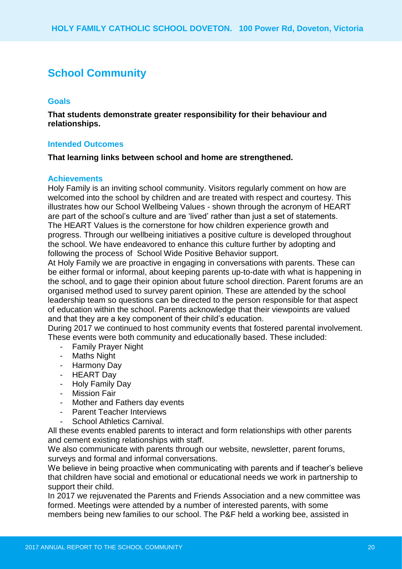### **School Community**

#### **Goals**

**That students demonstrate greater responsibility for their behaviour and relationships.**

#### **Intended Outcomes**

**That learning links between school and home are strengthened.**

#### **Achievements**

Holy Family is an inviting school community. Visitors regularly comment on how are welcomed into the school by children and are treated with respect and courtesy. This illustrates how our School Wellbeing Values - shown through the acronym of HEART are part of the school's culture and are 'lived' rather than just a set of statements. The HEART Values is the cornerstone for how children experience growth and progress. Through our wellbeing initiatives a positive culture is developed throughout the school. We have endeavored to enhance this culture further by adopting and following the process of School Wide Positive Behavior support.

At Holy Family we are proactive in engaging in conversations with parents. These can be either formal or informal, about keeping parents up-to-date with what is happening in the school, and to gage their opinion about future school direction. Parent forums are an organised method used to survey parent opinion. These are attended by the school leadership team so questions can be directed to the person responsible for that aspect of education within the school. Parents acknowledge that their viewpoints are valued and that they are a key component of their child's education.

During 2017 we continued to host community events that fostered parental involvement. These events were both community and educationally based. These included:

- Family Prayer Night
- Maths Night
- Harmony Day
- HEART Day
- Holy Family Day
- Mission Fair
- Mother and Fathers day events
- Parent Teacher Interviews
- School Athletics Carnival.

All these events enabled parents to interact and form relationships with other parents and cement existing relationships with staff.

We also communicate with parents through our website, newsletter, parent forums, surveys and formal and informal conversations.

We believe in being proactive when communicating with parents and if teacher's believe that children have social and emotional or educational needs we work in partnership to support their child.

In 2017 we rejuvenated the Parents and Friends Association and a new committee was formed. Meetings were attended by a number of interested parents, with some members being new families to our school. The P&F held a working bee, assisted in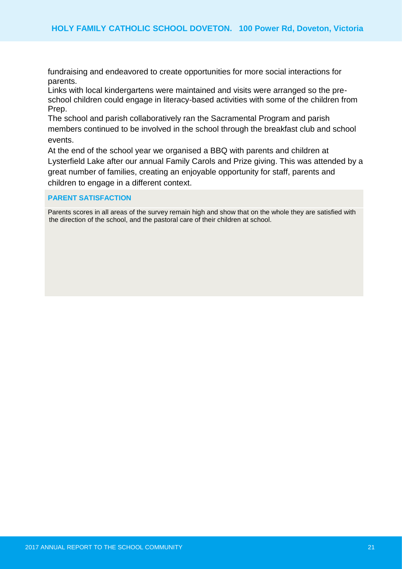fundraising and endeavored to create opportunities for more social interactions for parents.

Links with local kindergartens were maintained and visits were arranged so the preschool children could engage in literacy-based activities with some of the children from Prep.

The school and parish collaboratively ran the Sacramental Program and parish members continued to be involved in the school through the breakfast club and school events.

At the end of the school year we organised a BBQ with parents and children at Lysterfield Lake after our annual Family Carols and Prize giving. This was attended by a great number of families, creating an enjoyable opportunity for staff, parents and children to engage in a different context.

#### **PARENT SATISFACTION**

Parents scores in all areas of the survey remain high and show that on the whole they are satisfied with the direction of the school, and the pastoral care of their children at school.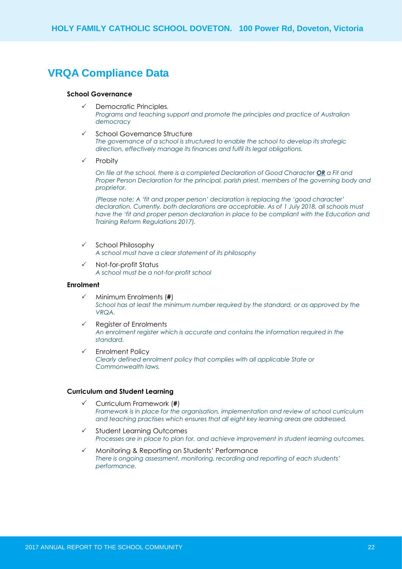### **VRQA Compliance Data**

#### **School Governance**

- Democratic Principles*. Programs and teaching support and promote the principles and practice of Australian democracy*
- School Governance Structure *The governance of a school is structured to enable the school to develop its strategic direction, effectively manage its finances and fulfil its legal obligations.*
- $\checkmark$  Probity

*On file at the school, there is a completed Declaration of Good Character OR a Fit and Proper Person Declaration for the principal, parish priest, members of the governing body and proprietor.*

*(Please note: A 'fit and proper person' declaration is replacing the 'good character' declaration. Currently, both declarations are acceptable. As of 1 July 2018, all schools must*  have the 'fit and proper person declaration in place to be compliant with the Education and *Training Reform Regulations 2017).*

- $\checkmark$  School Philosophy *A school must have a clear statement of its philosophy*
- $\checkmark$  Not-for-profit Status *A school must be a not-for-profit school*

#### **Enrolment**

- Minimum Enrolments (**#**) *School has at least the minimum number required by the standard, or as approved by the VRQA.*
- $\checkmark$  Register of Enrolments *An enrolment register which is accurate and contains the information required in the standard.*
- $\checkmark$  Enrolment Policy *Clearly defined enrolment policy that complies with all applicable State or Commonwealth laws.*

#### **Curriculum and Student Learning**

- Curriculum Framework (**#**) *Framework is in place for the organisation, implementation and review of school curriculum and teaching practises which ensures that all eight key learning areas are addressed.*
- Student Learning Outcomes *Processes are in place to plan for, and achieve improvement in student learning outcomes.*
- $\checkmark$  Monitoring & Reporting on Students' Performance *There is ongoing assessment, monitoring, recording and reporting of each students' performance.*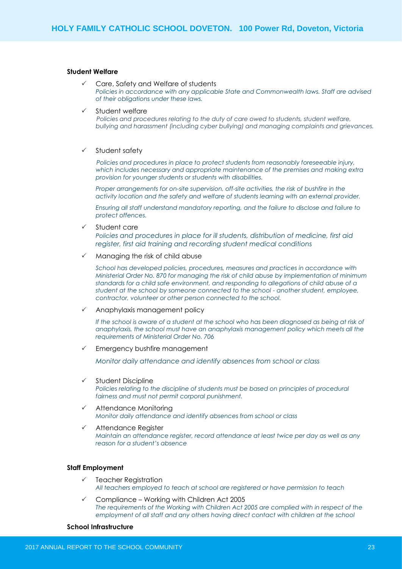#### **Student Welfare**

- Care, Safety and Welfare of students *Policies in accordance with any applicable State and Commonwealth laws. Staff are advised of their obligations under these laws.*
- $\checkmark$  Student welfare

*Policies and procedures relating to the duty of care owed to students, student welfare, bullying and harassment (including cyber bullying) and managing complaints and grievances.*

#### $\checkmark$  Student safety

*Policies and procedures in place to protect students from reasonably foreseeable injury, which includes necessary and appropriate maintenance of the premises and making extra provision for younger students or students with disabilities.* 

*Proper arrangements for on-site supervision, off-site activities, the risk of bushfire in the activity location and the safety and welfare of students learning with an external provider.* 

*Ensuring all staff understand mandatory reporting, and the failure to disclose and failure to protect offences.*

Student care

*Policies and procedures in place for ill students, distribution of medicine, first aid register, first aid training and recording student medical conditions*

Managing the risk of child abuse

*School has developed policies, procedures, measures and practices in accordance with Ministerial Order No. 870 for managing the risk of child abuse by implementation of minimum standards for a child safe environment, and responding to allegations of child abuse of a student at the school by someone connected to the school - another student, employee, contractor, volunteer or other person connected to the school.*

Anaphylaxis management policy

*If the school is aware of a student at the school who has been diagnosed as being at risk of anaphylaxis, the school must have an anaphylaxis management policy which meets all the requirements of Ministerial Order No. 706*

Emergency bushfire management

*Monitor daily attendance and identify absences from school or class*

- $\checkmark$  Student Discipline Policies relating to the discipline of students must be based on principles of procedural *fairness and must not permit corporal punishment.*
- Attendance Monitoring *Monitor daily attendance and identify absences from school or class*
- $\checkmark$  Attendance Register *Maintain an attendance register, record attendance at least twice per day as well as any reason for a student's absence*

#### **Staff Employment**

- $\checkmark$  Teacher Registration *All teachers employed to teach at school are registered or have permission to teach*
- $\checkmark$  Compliance Working with Children Act 2005 *The requirements of the Working with Children Act 2005 are complied with in respect of the employment of all staff and any others having direct contact with children at the school*

#### **School Infrastructure**